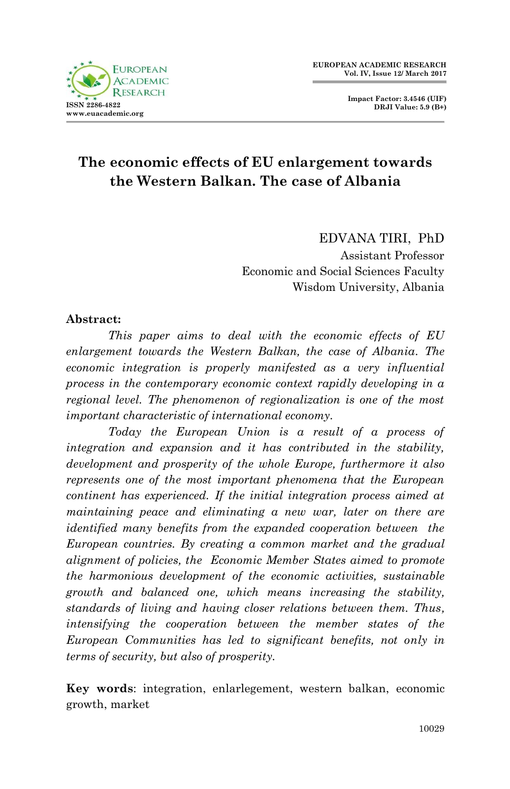

# **The economic effects of EU enlargement towards the Western Balkan. The case of Albania**

EDVANA TIRI, PhD Assistant Professor Economic and Social Sciences Faculty Wisdom University, Albania

#### **Abstract:**

*This paper aims to deal with the economic effects of EU enlargement towards the Western Balkan, the case of Albania. The economic integration is properly manifested as a very influential process in the contemporary economic context rapidly developing in a regional level. The phenomenon of regionalization is one of the most important characteristic of international economy.* 

*Today the European Union is a result of a process of integration and expansion and it has contributed in the stability, development and prosperity of the whole Europe, furthermore it also represents one of the most important phenomena that the European continent has experienced. If the initial integration process aimed at maintaining peace and eliminating a new war, later on there are identified many benefits from the expanded cooperation between the European countries. By creating a common market and the gradual alignment of policies, the Economic Member States aimed to promote the harmonious development of the economic activities, sustainable growth and balanced one, which means increasing the stability, standards of living and having closer relations between them. Thus, intensifying the cooperation between the member states of the European Communities has led to significant benefits, not only in terms of security, but also of prosperity.*

**Key words**: integration, enlarlegement, western balkan, economic growth, market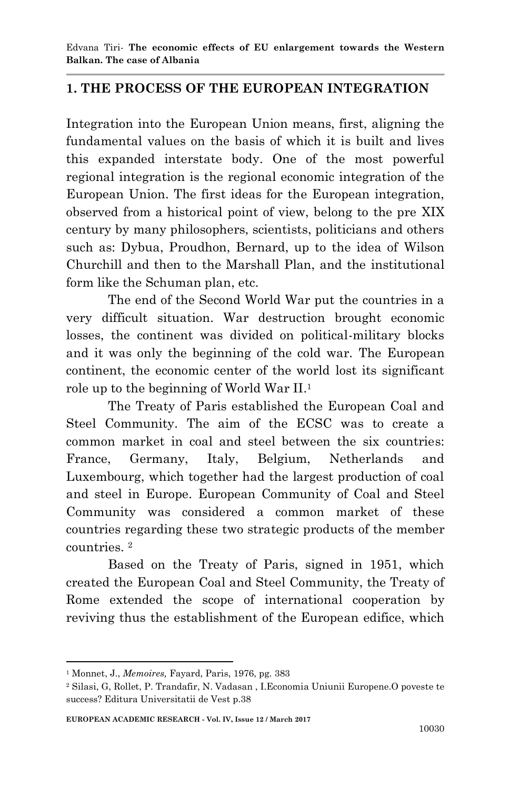## **1. THE PROCESS OF THE EUROPEAN INTEGRATION**

Integration into the European Union means, first, aligning the fundamental values on the basis of which it is built and lives this expanded interstate body. One of the most powerful regional integration is the regional economic integration of the European Union. The first ideas for the European integration, observed from a historical point of view, belong to the pre XIX century by many philosophers, scientists, politicians and others such as: Dybua, Proudhon, Bernard, up to the idea of Wilson Churchill and then to the Marshall Plan, and the institutional form like the Schuman plan, etc.

The end of the Second World War put the countries in a very difficult situation. War destruction brought economic losses, the continent was divided on political-military blocks and it was only the beginning of the cold war. The European continent, the economic center of the world lost its significant role up to the beginning of World War II. 1

The Treaty of Paris established the European Coal and Steel Community. The aim of the ECSC was to create a common market in coal and steel between the six countries: France, Germany, Italy, Belgium, Netherlands and Luxembourg, which together had the largest production of coal and steel in Europe. European Community of Coal and Steel Community was considered a common market of these countries regarding these two strategic products of the member countries. <sup>2</sup>

Based on the Treaty of Paris, signed in 1951, which created the European Coal and Steel Community, the Treaty of Rome extended the scope of international cooperation by reviving thus the establishment of the European edifice, which

<sup>1</sup> <sup>1</sup> Monnet, J., *Memoires,* Fayard, Paris, 1976, pg. 383

<sup>2</sup> Silasi, G, Rollet, P. Trandafir, N. Vadasan , I.Economia Uniunii Europene.O poveste te success? Editura Universitatii de Vest p.38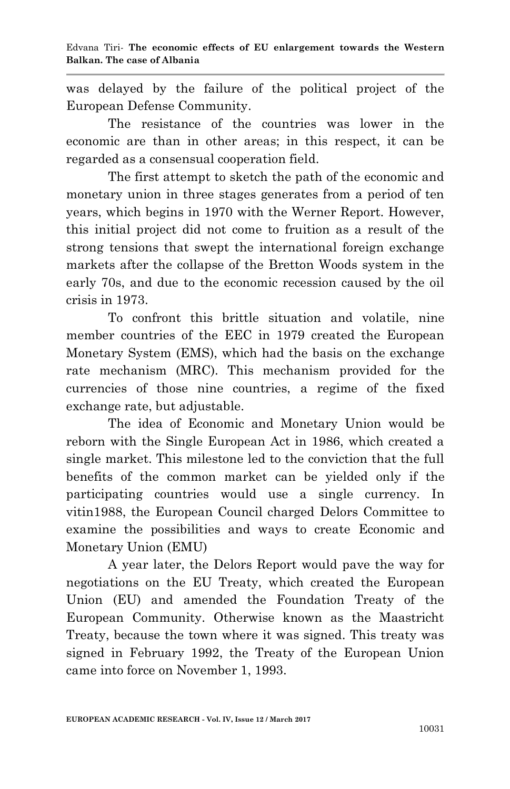was delayed by the failure of the political project of the European Defense Community.

The resistance of the countries was lower in the economic are than in other areas; in this respect, it can be regarded as a consensual cooperation field.

The first attempt to sketch the path of the economic and monetary union in three stages generates from a period of ten years, which begins in 1970 with the Werner Report. However, this initial project did not come to fruition as a result of the strong tensions that swept the international foreign exchange markets after the collapse of the Bretton Woods system in the early 70s, and due to the economic recession caused by the oil crisis in 1973.

To confront this brittle situation and volatile, nine member countries of the EEC in 1979 created the European Monetary System (EMS), which had the basis on the exchange rate mechanism (MRC). This mechanism provided for the currencies of those nine countries, a regime of the fixed exchange rate, but adjustable.

The idea of Economic and Monetary Union would be reborn with the Single European Act in 1986, which created a single market. This milestone led to the conviction that the full benefits of the common market can be yielded only if the participating countries would use a single currency. In vitin1988, the European Council charged Delors Committee to examine the possibilities and ways to create Economic and Monetary Union (EMU)

A year later, the Delors Report would pave the way for negotiations on the EU Treaty, which created the European Union (EU) and amended the Foundation Treaty of the European Community. Otherwise known as the Maastricht Treaty, because the town where it was signed. This treaty was signed in February 1992, the Treaty of the European Union came into force on November 1, 1993.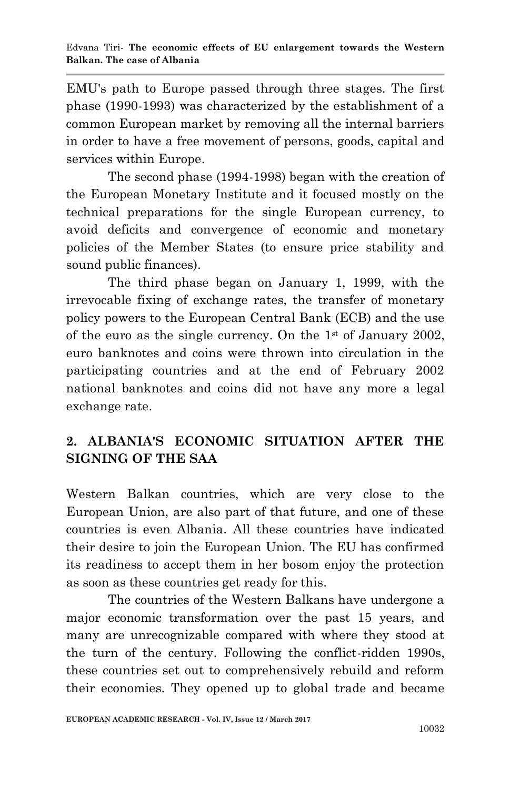EMU's path to Europe passed through three stages. The first phase (1990-1993) was characterized by the establishment of a common European market by removing all the internal barriers in order to have a free movement of persons, goods, capital and services within Europe.

The second phase (1994-1998) began with the creation of the European Monetary Institute and it focused mostly on the technical preparations for the single European currency, to avoid deficits and convergence of economic and monetary policies of the Member States (to ensure price stability and sound public finances).

The third phase began on January 1, 1999, with the irrevocable fixing of exchange rates, the transfer of monetary policy powers to the European Central Bank (ECB) and the use of the euro as the single currency. On the  $1<sup>st</sup>$  of January 2002, euro banknotes and coins were thrown into circulation in the participating countries and at the end of February 2002 national banknotes and coins did not have any more a legal exchange rate.

## **2. ALBANIA'S ECONOMIC SITUATION AFTER THE SIGNING OF THE SAA**

Western Balkan countries, which are very close to the European Union, are also part of that future, and one of these countries is even Albania. All these countries have indicated their desire to join the European Union. The EU has confirmed its readiness to accept them in her bosom enjoy the protection as soon as these countries get ready for this.

The countries of the Western Balkans have undergone a major economic transformation over the past 15 years, and many are unrecognizable compared with where they stood at the turn of the century. Following the conflict-ridden 1990s, these countries set out to comprehensively rebuild and reform their economies. They opened up to global trade and became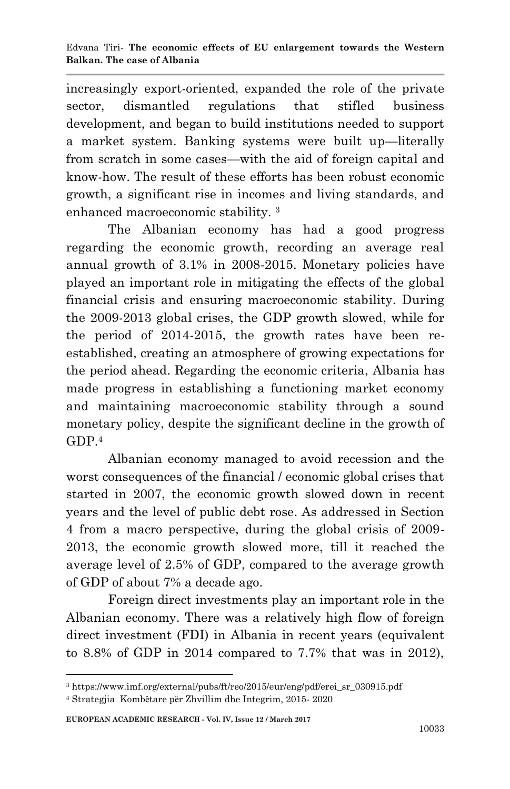increasingly export-oriented, expanded the role of the private sector, dismantled regulations that stifled business development, and began to build institutions needed to support a market system. Banking systems were built up—literally from scratch in some cases—with the aid of foreign capital and know-how. The result of these efforts has been robust economic growth, a significant rise in incomes and living standards, and enhanced macroeconomic stability. <sup>3</sup>

The Albanian economy has had a good progress regarding the economic growth, recording an average real annual growth of 3.1% in 2008-2015. Monetary policies have played an important role in mitigating the effects of the global financial crisis and ensuring macroeconomic stability. During the 2009-2013 global crises, the GDP growth slowed, while for the period of 2014-2015, the growth rates have been reestablished, creating an atmosphere of growing expectations for the period ahead. Regarding the economic criteria, Albania has made progress in establishing a functioning market economy and maintaining macroeconomic stability through a sound monetary policy, despite the significant decline in the growth of GDP. 4

Albanian economy managed to avoid recession and the worst consequences of the financial / economic global crises that started in 2007, the economic growth slowed down in recent years and the level of public debt rose. As addressed in Section 4 from a macro perspective, during the global crisis of 2009- 2013, the economic growth slowed more, till it reached the average level of 2.5% of GDP, compared to the average growth of GDP of about 7% a decade ago.

Foreign direct investments play an important role in the Albanian economy. There was a relatively high flow of foreign direct investment (FDI) in Albania in recent years (equivalent to 8.8% of GDP in 2014 compared to 7.7% that was in 2012),

1

<sup>3</sup> https://www.imf.org/external/pubs/ft/reo/2015/eur/eng/pdf/erei\_sr\_030915.pdf

<sup>4</sup> Strategjia Kombȅtare pȅr Zhvillim dhe Integrim, 2015- 2020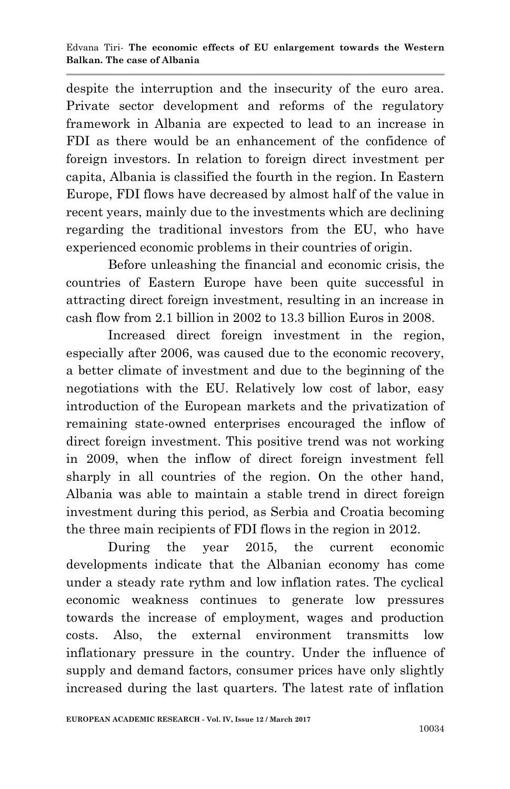despite the interruption and the insecurity of the euro area. Private sector development and reforms of the regulatory framework in Albania are expected to lead to an increase in FDI as there would be an enhancement of the confidence of foreign investors. In relation to foreign direct investment per capita, Albania is classified the fourth in the region. In Eastern Europe, FDI flows have decreased by almost half of the value in recent years, mainly due to the investments which are declining regarding the traditional investors from the EU, who have experienced economic problems in their countries of origin.

Before unleashing the financial and economic crisis, the countries of Eastern Europe have been quite successful in attracting direct foreign investment, resulting in an increase in cash flow from 2.1 billion in 2002 to 13.3 billion Euros in 2008.

Increased direct foreign investment in the region, especially after 2006, was caused due to the economic recovery, a better climate of investment and due to the beginning of the negotiations with the EU. Relatively low cost of labor, easy introduction of the European markets and the privatization of remaining state-owned enterprises encouraged the inflow of direct foreign investment. This positive trend was not working in 2009, when the inflow of direct foreign investment fell sharply in all countries of the region. On the other hand, Albania was able to maintain a stable trend in direct foreign investment during this period, as Serbia and Croatia becoming the three main recipients of FDI flows in the region in 2012.

During the year 2015, the current economic developments indicate that the Albanian economy has come under a steady rate rythm and low inflation rates. The cyclical economic weakness continues to generate low pressures towards the increase of employment, wages and production costs. Also, the external environment transmitts low inflationary pressure in the country. Under the influence of supply and demand factors, consumer prices have only slightly increased during the last quarters. The latest rate of inflation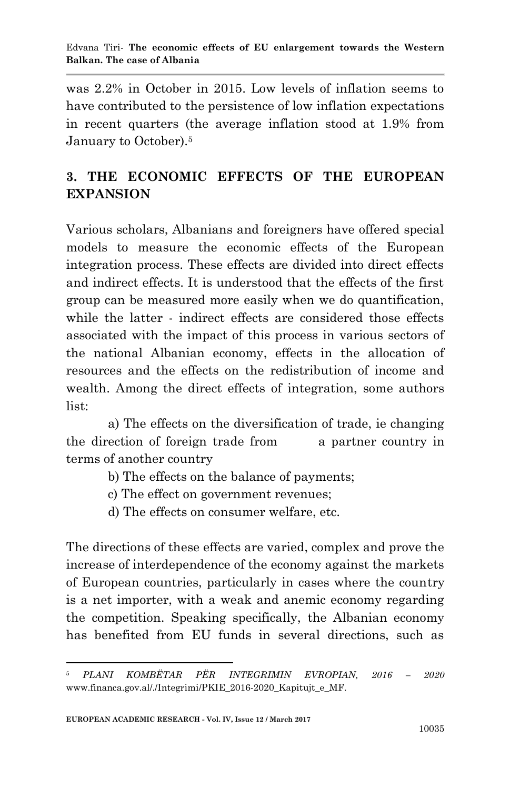was 2.2% in October in 2015. Low levels of inflation seems to have contributed to the persistence of low inflation expectations in recent quarters (the average inflation stood at 1.9% from January to October).<sup>5</sup>

## **3. THE ECONOMIC EFFECTS OF THE EUROPEAN EXPANSION**

Various scholars, Albanians and foreigners have offered special models to measure the economic effects of the European integration process. These effects are divided into direct effects and indirect effects. It is understood that the effects of the first group can be measured more easily when we do quantification, while the latter - indirect effects are considered those effects associated with the impact of this process in various sectors of the national Albanian economy, effects in the allocation of resources and the effects on the redistribution of income and wealth. Among the direct effects of integration, some authors list:

a) The effects on the diversification of trade, ie changing the direction of foreign trade from a partner country in terms of another country

- b) The effects on the balance of payments;
- c) The effect on government revenues;
- d) The effects on consumer welfare, etc.

The directions of these effects are varied, complex and prove the increase of interdependence of the economy against the markets of European countries, particularly in cases where the country is a net importer, with a weak and anemic economy regarding the competition. Speaking specifically, the Albanian economy has benefited from EU funds in several directions, such as

<sup>1</sup> <sup>5</sup> *PLANI KOMBËTAR PËR INTEGRIMIN EVROPIAN, 2016 – 2020*  www.financa.gov.al/./Integrimi/PKIE\_2016-2020\_Kapitujt\_e\_MF.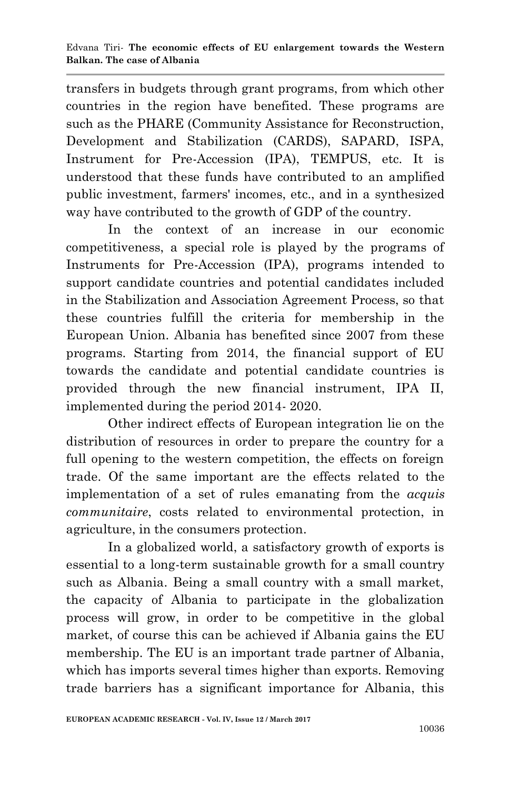transfers in budgets through grant programs, from which other countries in the region have benefited. These programs are such as the PHARE (Community Assistance for Reconstruction, Development and Stabilization (CARDS), SAPARD, ISPA, Instrument for Pre-Accession (IPA), TEMPUS, etc. It is understood that these funds have contributed to an amplified public investment, farmers' incomes, etc., and in a synthesized way have contributed to the growth of GDP of the country.

In the context of an increase in our economic competitiveness, a special role is played by the programs of Instruments for Pre-Accession (IPA), programs intended to support candidate countries and potential candidates included in the Stabilization and Association Agreement Process, so that these countries fulfill the criteria for membership in the European Union. Albania has benefited since 2007 from these programs. Starting from 2014, the financial support of EU towards the candidate and potential candidate countries is provided through the new financial instrument, IPA II, implemented during the period 2014- 2020.

Other indirect effects of European integration lie on the distribution of resources in order to prepare the country for a full opening to the western competition, the effects on foreign trade. Of the same important are the effects related to the implementation of a set of rules emanating from the *acquis communitaire*, costs related to environmental protection, in agriculture, in the consumers protection.

In a globalized world, a satisfactory growth of exports is essential to a long-term sustainable growth for a small country such as Albania. Being a small country with a small market, the capacity of Albania to participate in the globalization process will grow, in order to be competitive in the global market, of course this can be achieved if Albania gains the EU membership. The EU is an important trade partner of Albania, which has imports several times higher than exports. Removing trade barriers has a significant importance for Albania, this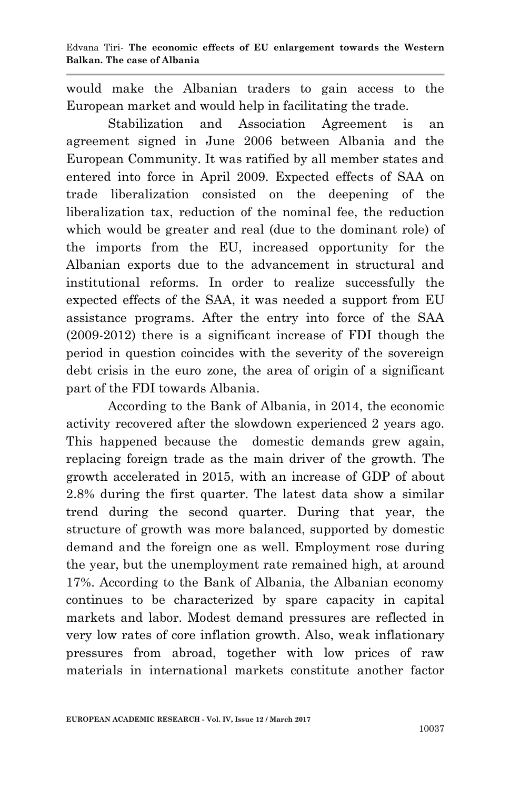would make the Albanian traders to gain access to the European market and would help in facilitating the trade.

Stabilization and Association Agreement is an agreement signed in June 2006 between Albania and the European Community. It was ratified by all member states and entered into force in April 2009. Expected effects of SAA on trade liberalization consisted on the deepening of the liberalization tax, reduction of the nominal fee, the reduction which would be greater and real (due to the dominant role) of the imports from the EU, increased opportunity for the Albanian exports due to the advancement in structural and institutional reforms. In order to realize successfully the expected effects of the SAA, it was needed a support from EU assistance programs. After the entry into force of the SAA (2009-2012) there is a significant increase of FDI though the period in question coincides with the severity of the sovereign debt crisis in the euro zone, the area of origin of a significant part of the FDI towards Albania.

According to the Bank of Albania, in 2014, the economic activity recovered after the slowdown experienced 2 years ago. This happened because the domestic demands grew again, replacing foreign trade as the main driver of the growth. The growth accelerated in 2015, with an increase of GDP of about 2.8% during the first quarter. The latest data show a similar trend during the second quarter. During that year, the structure of growth was more balanced, supported by domestic demand and the foreign one as well. Employment rose during the year, but the unemployment rate remained high, at around 17%. According to the Bank of Albania, the Albanian economy continues to be characterized by spare capacity in capital markets and labor. Modest demand pressures are reflected in very low rates of core inflation growth. Also, weak inflationary pressures from abroad, together with low prices of raw materials in international markets constitute another factor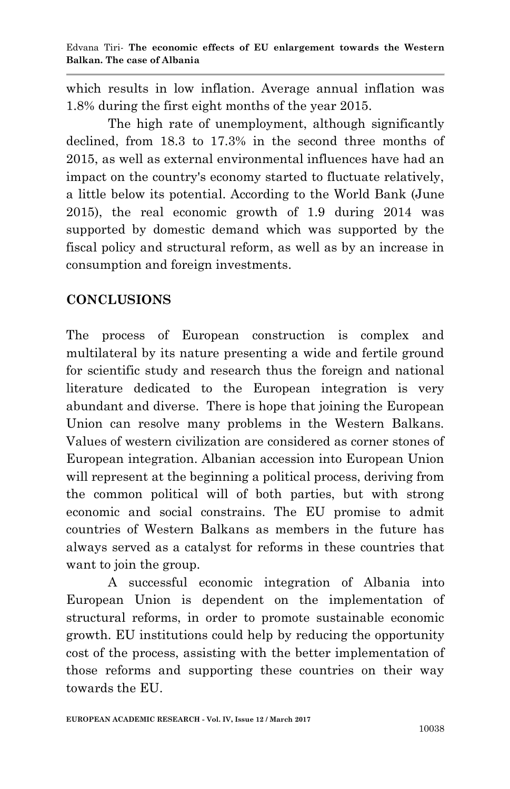which results in low inflation. Average annual inflation was 1.8% during the first eight months of the year 2015.

The high rate of unemployment, although significantly declined, from 18.3 to 17.3% in the second three months of 2015, as well as external environmental influences have had an impact on the country's economy started to fluctuate relatively, a little below its potential. According to the World Bank (June 2015), the real economic growth of 1.9 during 2014 was supported by domestic demand which was supported by the fiscal policy and structural reform, as well as by an increase in consumption and foreign investments.

## **CONCLUSIONS**

The process of European construction is complex and multilateral by its nature presenting a wide and fertile ground for scientific study and research thus the foreign and national literature dedicated to the European integration is very abundant and diverse. There is hope that joining the European Union can resolve many problems in the Western Balkans. Values of western civilization are considered as corner stones of European integration. Albanian accession into European Union will represent at the beginning a political process, deriving from the common political will of both parties, but with strong economic and social constrains. The EU promise to admit countries of Western Balkans as members in the future has always served as a catalyst for reforms in these countries that want to join the group.

A successful economic integration of Albania into European Union is dependent on the implementation of structural reforms, in order to promote sustainable economic growth. EU institutions could help by reducing the opportunity cost of the process, assisting with the better implementation of those reforms and supporting these countries on their way towards the EU.